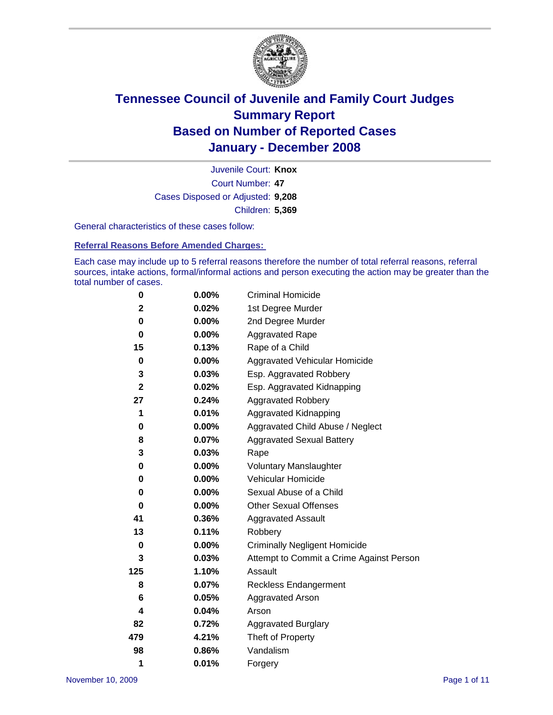

Court Number: **47** Juvenile Court: **Knox** Cases Disposed or Adjusted: **9,208** Children: **5,369**

General characteristics of these cases follow:

**Referral Reasons Before Amended Charges:** 

Each case may include up to 5 referral reasons therefore the number of total referral reasons, referral sources, intake actions, formal/informal actions and person executing the action may be greater than the total number of cases.

| 0            | $0.00\%$ | <b>Criminal Homicide</b>                 |
|--------------|----------|------------------------------------------|
| $\mathbf{2}$ | 0.02%    | 1st Degree Murder                        |
| 0            | $0.00\%$ | 2nd Degree Murder                        |
| 0            | 0.00%    | <b>Aggravated Rape</b>                   |
| 15           | 0.13%    | Rape of a Child                          |
| 0            | 0.00%    | Aggravated Vehicular Homicide            |
| 3            | 0.03%    | Esp. Aggravated Robbery                  |
| $\mathbf{2}$ | 0.02%    | Esp. Aggravated Kidnapping               |
| 27           | 0.24%    | <b>Aggravated Robbery</b>                |
| 1            | 0.01%    | Aggravated Kidnapping                    |
| 0            | 0.00%    | Aggravated Child Abuse / Neglect         |
| 8            | 0.07%    | <b>Aggravated Sexual Battery</b>         |
| 3            | 0.03%    | Rape                                     |
| 0            | 0.00%    | <b>Voluntary Manslaughter</b>            |
| 0            | 0.00%    | Vehicular Homicide                       |
| 0            | 0.00%    | Sexual Abuse of a Child                  |
| 0            | $0.00\%$ | <b>Other Sexual Offenses</b>             |
| 41           | 0.36%    | <b>Aggravated Assault</b>                |
| 13           | 0.11%    | Robbery                                  |
| 0            | 0.00%    | <b>Criminally Negligent Homicide</b>     |
| 3            | 0.03%    | Attempt to Commit a Crime Against Person |
| 125          | 1.10%    | Assault                                  |
| 8            | 0.07%    | <b>Reckless Endangerment</b>             |
| 6            | 0.05%    | <b>Aggravated Arson</b>                  |
| 4            | 0.04%    | Arson                                    |
| 82           | 0.72%    | Aggravated Burglary                      |
| 479          | 4.21%    | Theft of Property                        |
| 98           | 0.86%    | Vandalism                                |
| 1            | 0.01%    | Forgery                                  |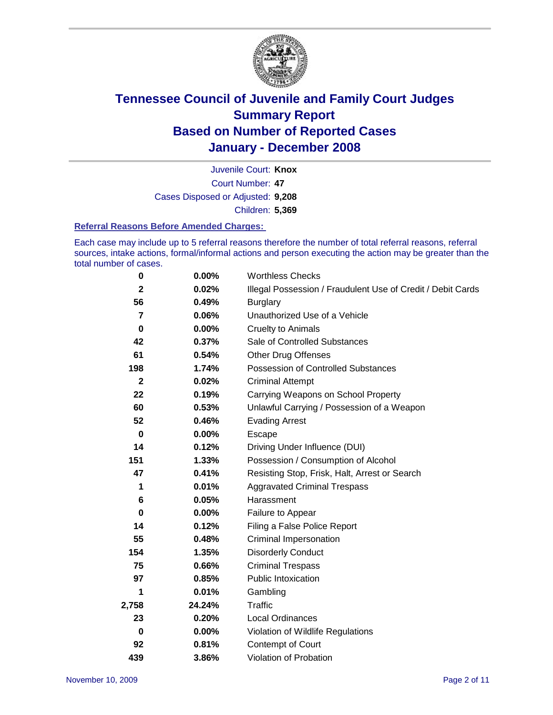

Court Number: **47** Juvenile Court: **Knox** Cases Disposed or Adjusted: **9,208** Children: **5,369**

#### **Referral Reasons Before Amended Charges:**

Each case may include up to 5 referral reasons therefore the number of total referral reasons, referral sources, intake actions, formal/informal actions and person executing the action may be greater than the total number of cases.

| 0            | 0.00%    | <b>Worthless Checks</b>                                     |
|--------------|----------|-------------------------------------------------------------|
| $\mathbf{2}$ | 0.02%    | Illegal Possession / Fraudulent Use of Credit / Debit Cards |
| 56           | 0.49%    | <b>Burglary</b>                                             |
| 7            | 0.06%    | Unauthorized Use of a Vehicle                               |
| 0            | 0.00%    | <b>Cruelty to Animals</b>                                   |
| 42           | 0.37%    | Sale of Controlled Substances                               |
| 61           | 0.54%    | <b>Other Drug Offenses</b>                                  |
| 198          | 1.74%    | <b>Possession of Controlled Substances</b>                  |
| $\mathbf{2}$ | 0.02%    | <b>Criminal Attempt</b>                                     |
| 22           | 0.19%    | Carrying Weapons on School Property                         |
| 60           | 0.53%    | Unlawful Carrying / Possession of a Weapon                  |
| 52           | 0.46%    | <b>Evading Arrest</b>                                       |
| 0            | 0.00%    | Escape                                                      |
| 14           | 0.12%    | Driving Under Influence (DUI)                               |
| 151          | 1.33%    | Possession / Consumption of Alcohol                         |
| 47           | 0.41%    | Resisting Stop, Frisk, Halt, Arrest or Search               |
| 1            | 0.01%    | <b>Aggravated Criminal Trespass</b>                         |
| 6            | 0.05%    | Harassment                                                  |
| 0            | $0.00\%$ | Failure to Appear                                           |
| 14           | 0.12%    | Filing a False Police Report                                |
| 55           | 0.48%    | Criminal Impersonation                                      |
| 154          | 1.35%    | <b>Disorderly Conduct</b>                                   |
| 75           | 0.66%    | <b>Criminal Trespass</b>                                    |
| 97           | 0.85%    | <b>Public Intoxication</b>                                  |
| 1            | 0.01%    | Gambling                                                    |
| 2,758        | 24.24%   | Traffic                                                     |
| 23           | 0.20%    | Local Ordinances                                            |
| 0            | 0.00%    | Violation of Wildlife Regulations                           |
| 92           | 0.81%    | Contempt of Court                                           |
| 439          | 3.86%    | Violation of Probation                                      |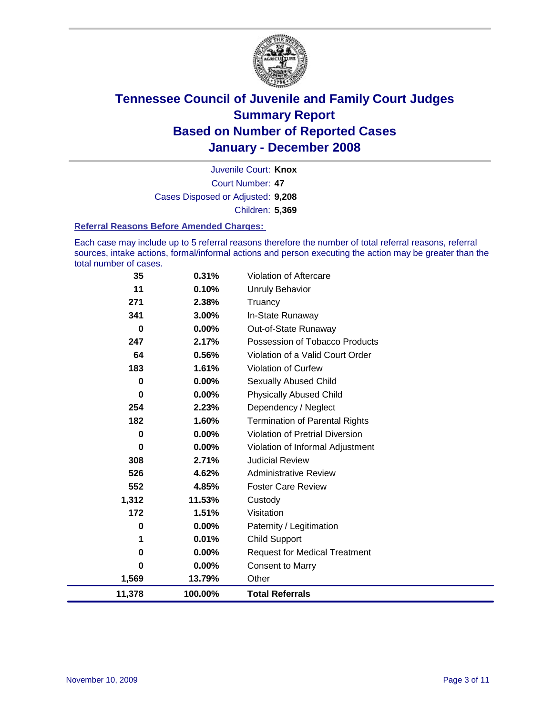

Court Number: **47** Juvenile Court: **Knox** Cases Disposed or Adjusted: **9,208** Children: **5,369**

#### **Referral Reasons Before Amended Charges:**

Each case may include up to 5 referral reasons therefore the number of total referral reasons, referral sources, intake actions, formal/informal actions and person executing the action may be greater than the total number of cases.

| 35       | 0.31%    | Violation of Aftercare                 |
|----------|----------|----------------------------------------|
| 11       | 0.10%    | <b>Unruly Behavior</b>                 |
| 271      | 2.38%    | Truancy                                |
| 341      | 3.00%    | In-State Runaway                       |
| $\bf{0}$ | $0.00\%$ | Out-of-State Runaway                   |
| 247      | 2.17%    | Possession of Tobacco Products         |
| 64       | 0.56%    | Violation of a Valid Court Order       |
| 183      | 1.61%    | <b>Violation of Curfew</b>             |
| 0        | 0.00%    | <b>Sexually Abused Child</b>           |
| 0        | $0.00\%$ | <b>Physically Abused Child</b>         |
| 254      | 2.23%    | Dependency / Neglect                   |
| 182      | 1.60%    | <b>Termination of Parental Rights</b>  |
| 0        | $0.00\%$ | <b>Violation of Pretrial Diversion</b> |
| 0        | $0.00\%$ | Violation of Informal Adjustment       |
| 308      | 2.71%    | <b>Judicial Review</b>                 |
| 526      | 4.62%    | <b>Administrative Review</b>           |
| 552      | 4.85%    | <b>Foster Care Review</b>              |
| 1,312    | 11.53%   | Custody                                |
| 172      | 1.51%    | Visitation                             |
| 0        | 0.00%    | Paternity / Legitimation               |
| 1        | 0.01%    | <b>Child Support</b>                   |
| 0        | $0.00\%$ | <b>Request for Medical Treatment</b>   |
| 0        | 0.00%    | <b>Consent to Marry</b>                |
| 1,569    | 13.79%   | Other                                  |
| 11,378   | 100.00%  | <b>Total Referrals</b>                 |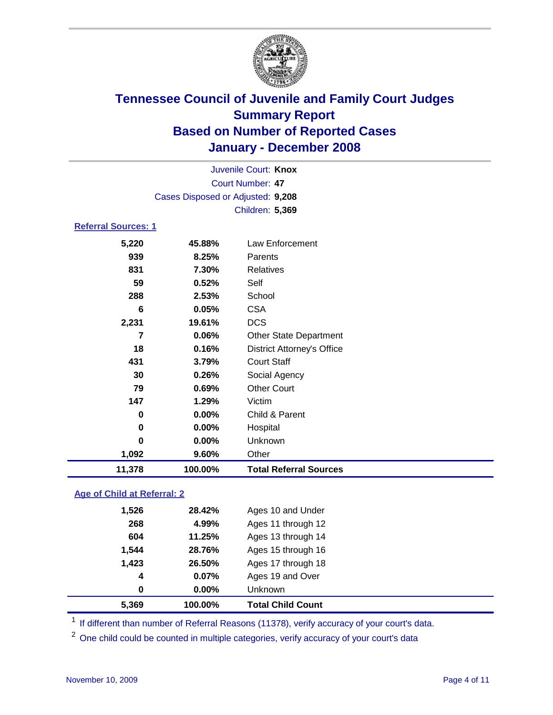

| 11,378                     | 100.00%                           | <b>Total Referral Sources</b>     |  |
|----------------------------|-----------------------------------|-----------------------------------|--|
| 1,092                      | 9.60%                             | Other                             |  |
| 0                          | 0.00%                             | Unknown                           |  |
| 0                          | 0.00%                             | Hospital                          |  |
| 0                          | $0.00\%$                          | Child & Parent                    |  |
| 147                        | 1.29%                             | Victim                            |  |
| 79                         | 0.69%                             | <b>Other Court</b>                |  |
| 30                         | 0.26%                             | Social Agency                     |  |
| 431                        | 3.79%                             | <b>Court Staff</b>                |  |
| 18                         | 0.16%                             | <b>District Attorney's Office</b> |  |
| 7                          | 0.06%                             | <b>Other State Department</b>     |  |
| 2,231                      | 19.61%                            | <b>DCS</b>                        |  |
| 6                          | 0.05%                             | <b>CSA</b>                        |  |
| 288                        | 2.53%                             | School                            |  |
| 59                         | 0.52%                             | Self                              |  |
| 831                        | 7.30%                             | <b>Relatives</b>                  |  |
| 939                        | 8.25%                             | Parents                           |  |
| 5,220                      | 45.88%                            | Law Enforcement                   |  |
| <b>Referral Sources: 1</b> |                                   |                                   |  |
|                            |                                   | Children: 5,369                   |  |
|                            | Cases Disposed or Adjusted: 9,208 |                                   |  |
|                            |                                   | <b>Court Number: 47</b>           |  |
|                            |                                   | Juvenile Court: Knox              |  |

### **Age of Child at Referral: 2**

| 5,369 | 100.00% | <b>Total Child Count</b> |  |
|-------|---------|--------------------------|--|
| 0     | 0.00%   | <b>Unknown</b>           |  |
| 4     | 0.07%   | Ages 19 and Over         |  |
| 1,423 | 26.50%  | Ages 17 through 18       |  |
| 1,544 | 28.76%  | Ages 15 through 16       |  |
| 604   | 11.25%  | Ages 13 through 14       |  |
| 268   | 4.99%   | Ages 11 through 12       |  |
| 1,526 | 28.42%  | Ages 10 and Under        |  |
|       |         |                          |  |

<sup>1</sup> If different than number of Referral Reasons (11378), verify accuracy of your court's data.

<sup>2</sup> One child could be counted in multiple categories, verify accuracy of your court's data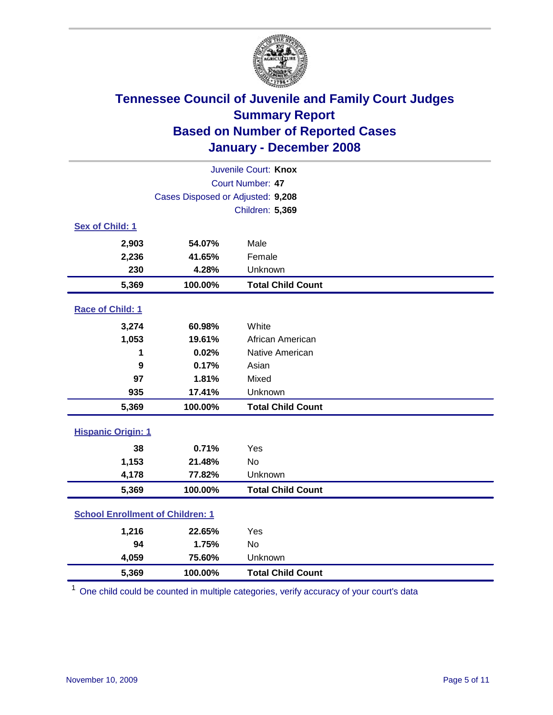

|                           | Juvenile Court: Knox                    |                          |  |  |
|---------------------------|-----------------------------------------|--------------------------|--|--|
|                           | Court Number: 47                        |                          |  |  |
|                           | Cases Disposed or Adjusted: 9,208       |                          |  |  |
|                           |                                         | Children: 5,369          |  |  |
| Sex of Child: 1           |                                         |                          |  |  |
| 2,903                     | 54.07%                                  | Male                     |  |  |
| 2,236                     | 41.65%                                  | Female                   |  |  |
| 230                       | 4.28%                                   | Unknown                  |  |  |
| 5,369                     | 100.00%                                 | <b>Total Child Count</b> |  |  |
| Race of Child: 1          |                                         |                          |  |  |
| 3,274                     | 60.98%                                  | White                    |  |  |
| 1,053                     | 19.61%                                  | African American         |  |  |
| 1                         | 0.02%                                   | Native American          |  |  |
| 9                         | 0.17%                                   | Asian                    |  |  |
| 97                        | 1.81%                                   | Mixed                    |  |  |
| 935                       | 17.41%                                  | Unknown                  |  |  |
| 5,369                     | 100.00%                                 | <b>Total Child Count</b> |  |  |
| <b>Hispanic Origin: 1</b> |                                         |                          |  |  |
| 38                        | 0.71%                                   | Yes                      |  |  |
| 1,153                     | 21.48%                                  | <b>No</b>                |  |  |
| 4,178                     | 77.82%                                  | Unknown                  |  |  |
| 5,369                     | 100.00%                                 | <b>Total Child Count</b> |  |  |
|                           | <b>School Enrollment of Children: 1</b> |                          |  |  |
| 1,216                     | 22.65%                                  | Yes                      |  |  |
| 94                        | 1.75%                                   | <b>No</b>                |  |  |
| 4,059                     | 75.60%                                  | Unknown                  |  |  |
| 5,369                     | 100.00%                                 | <b>Total Child Count</b> |  |  |

<sup>1</sup> One child could be counted in multiple categories, verify accuracy of your court's data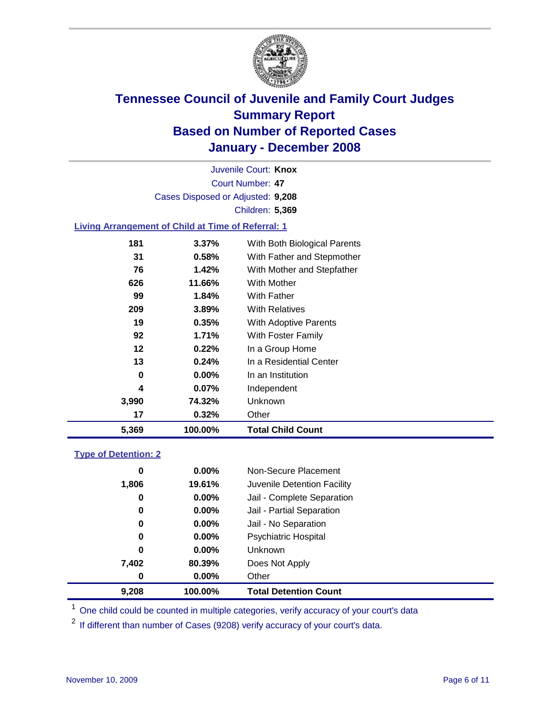

Court Number: **47** Juvenile Court: **Knox** Cases Disposed or Adjusted: **9,208** Children: **5,369**

### **Living Arrangement of Child at Time of Referral: 1**

| 5,369 | 100.00%  | <b>Total Child Count</b>     |  |
|-------|----------|------------------------------|--|
| 17    | 0.32%    | Other                        |  |
| 3,990 | 74.32%   | Unknown                      |  |
| 4     | $0.07\%$ | Independent                  |  |
| 0     | $0.00\%$ | In an Institution            |  |
| 13    | 0.24%    | In a Residential Center      |  |
| 12    | 0.22%    | In a Group Home              |  |
| 92    | 1.71%    | With Foster Family           |  |
| 19    | 0.35%    | With Adoptive Parents        |  |
| 209   | 3.89%    | <b>With Relatives</b>        |  |
| 99    | 1.84%    | <b>With Father</b>           |  |
| 626   | 11.66%   | With Mother                  |  |
| 76    | 1.42%    | With Mother and Stepfather   |  |
| 31    | 0.58%    | With Father and Stepmother   |  |
| 181   | $3.37\%$ | With Both Biological Parents |  |
|       |          |                              |  |

#### **Type of Detention: 2**

| 9.208 | 100.00%  | <b>Total Detention Count</b> |  |
|-------|----------|------------------------------|--|
| 0     | $0.00\%$ | Other                        |  |
| 7,402 | 80.39%   | Does Not Apply               |  |
| 0     | $0.00\%$ | <b>Unknown</b>               |  |
| 0     | $0.00\%$ | <b>Psychiatric Hospital</b>  |  |
| 0     | $0.00\%$ | Jail - No Separation         |  |
| 0     | $0.00\%$ | Jail - Partial Separation    |  |
| 0     | 0.00%    | Jail - Complete Separation   |  |
| 1,806 | 19.61%   | Juvenile Detention Facility  |  |
| 0     | $0.00\%$ | Non-Secure Placement         |  |
|       |          |                              |  |

<sup>1</sup> One child could be counted in multiple categories, verify accuracy of your court's data

<sup>2</sup> If different than number of Cases (9208) verify accuracy of your court's data.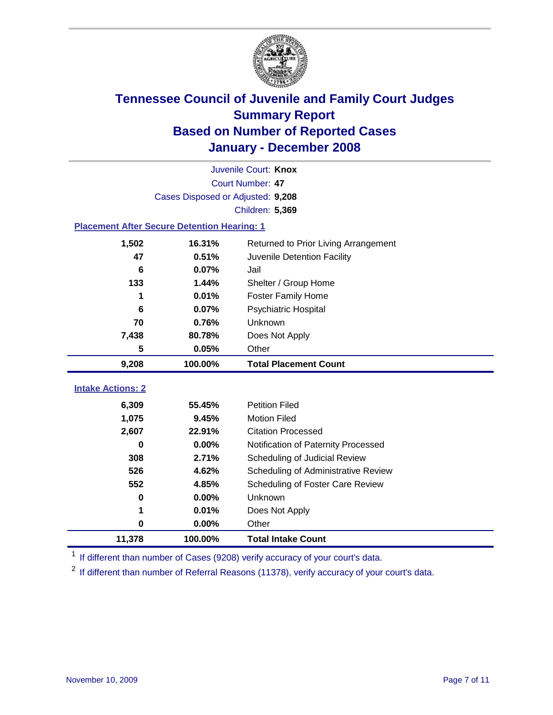

|                                                    | Juvenile Court: Knox              |                                      |  |  |  |
|----------------------------------------------------|-----------------------------------|--------------------------------------|--|--|--|
|                                                    | Court Number: 47                  |                                      |  |  |  |
|                                                    | Cases Disposed or Adjusted: 9,208 |                                      |  |  |  |
|                                                    |                                   | Children: 5,369                      |  |  |  |
| <b>Placement After Secure Detention Hearing: 1</b> |                                   |                                      |  |  |  |
| 1,502                                              | 16.31%                            | Returned to Prior Living Arrangement |  |  |  |
| 47                                                 | 0.51%                             | Juvenile Detention Facility          |  |  |  |
| $6\phantom{1}6$                                    | 0.07%                             | Jail                                 |  |  |  |
| 133                                                | 1.44%                             | Shelter / Group Home                 |  |  |  |
| 1                                                  | 0.01%                             | <b>Foster Family Home</b>            |  |  |  |
| 6                                                  | 0.07%                             | Psychiatric Hospital                 |  |  |  |
| 70                                                 | 0.76%                             | Unknown                              |  |  |  |
| 7,438                                              | 80.78%                            | Does Not Apply                       |  |  |  |
| 5                                                  | 0.05%                             | Other                                |  |  |  |
| 9,208                                              | 100.00%                           | <b>Total Placement Count</b>         |  |  |  |
| <b>Intake Actions: 2</b>                           |                                   |                                      |  |  |  |
|                                                    |                                   |                                      |  |  |  |
| 6,309                                              | 55.45%                            | <b>Petition Filed</b>                |  |  |  |
| 1,075                                              | 9.45%                             | <b>Motion Filed</b>                  |  |  |  |
| 2,607                                              | 22.91%                            | <b>Citation Processed</b>            |  |  |  |
| 0                                                  |                                   |                                      |  |  |  |
|                                                    | 0.00%                             | Notification of Paternity Processed  |  |  |  |
| 308                                                | 2.71%                             | Scheduling of Judicial Review        |  |  |  |
| 526                                                | 4.62%                             | Scheduling of Administrative Review  |  |  |  |
| 552                                                | 4.85%                             | Scheduling of Foster Care Review     |  |  |  |
| 0                                                  | 0.00%                             | Unknown                              |  |  |  |
| 1                                                  | 0.01%                             | Does Not Apply                       |  |  |  |
| $\bf{0}$                                           | 0.00%                             | Other                                |  |  |  |

<sup>1</sup> If different than number of Cases (9208) verify accuracy of your court's data.

<sup>2</sup> If different than number of Referral Reasons (11378), verify accuracy of your court's data.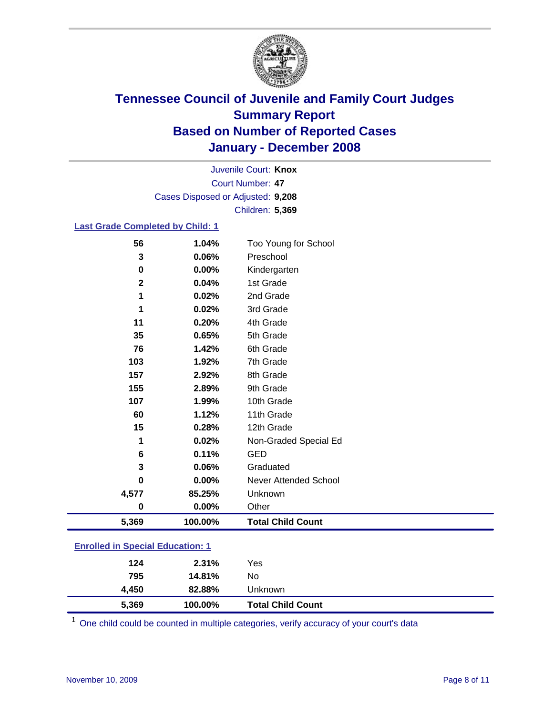

Court Number: **47** Juvenile Court: **Knox** Cases Disposed or Adjusted: **9,208** Children: **5,369**

#### **Last Grade Completed by Child: 1**

| 5,369       | 100.00% | <b>Total Child Count</b> |
|-------------|---------|--------------------------|
| 0           | 0.00%   | Other                    |
| 4,577       | 85.25%  | Unknown                  |
| 0           | 0.00%   | Never Attended School    |
| 3           | 0.06%   | Graduated                |
| 6           | 0.11%   | <b>GED</b>               |
| 1           | 0.02%   | Non-Graded Special Ed    |
| 15          | 0.28%   | 12th Grade               |
| 60          | 1.12%   | 11th Grade               |
| 107         | 1.99%   | 10th Grade               |
| 155         | 2.89%   | 9th Grade                |
| 157         | 2.92%   | 8th Grade                |
| 103         | 1.92%   | 7th Grade                |
| 76          | 1.42%   | 6th Grade                |
| 35          | 0.65%   | 5th Grade                |
| 11          | 0.20%   | 4th Grade                |
| 1           | 0.02%   | 3rd Grade                |
| 1           | 0.02%   | 2nd Grade                |
| $\mathbf 2$ | 0.04%   | 1st Grade                |
| 0           | 0.00%   | Kindergarten             |
| 3           | 0.06%   | Preschool                |
| 56          | 1.04%   | Too Young for School     |

### **Enrolled in Special Education: 1**

| 5,369 | 100.00% | <b>Total Child Count</b> |  |
|-------|---------|--------------------------|--|
| 4,450 | 82.88%  | Unknown                  |  |
| 795   | 14.81%  | No                       |  |
| 124   | 2.31%   | Yes                      |  |
|       |         |                          |  |

<sup>1</sup> One child could be counted in multiple categories, verify accuracy of your court's data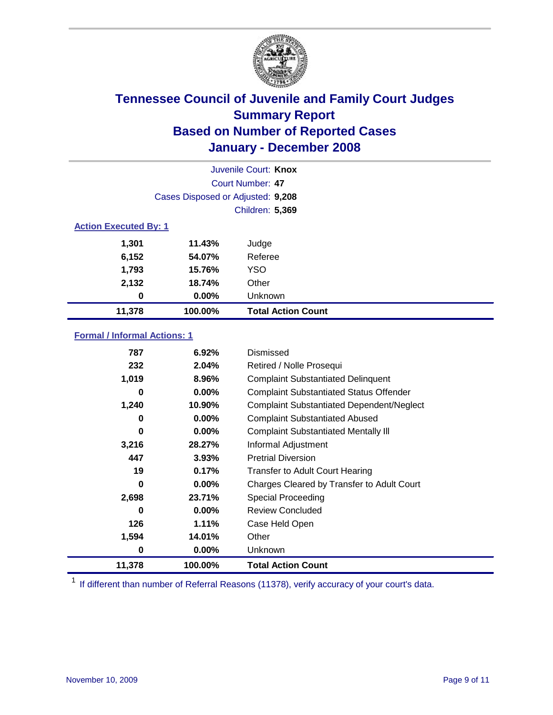

|                              | Juvenile Court: Knox              |                           |  |  |  |
|------------------------------|-----------------------------------|---------------------------|--|--|--|
|                              | Court Number: 47                  |                           |  |  |  |
|                              | Cases Disposed or Adjusted: 9,208 |                           |  |  |  |
|                              |                                   | <b>Children: 5,369</b>    |  |  |  |
| <b>Action Executed By: 1</b> |                                   |                           |  |  |  |
| 1,301                        | 11.43%                            | Judge                     |  |  |  |
| 6,152                        | 54.07%                            | Referee                   |  |  |  |
| 1,793                        | 15.76%                            | <b>YSO</b>                |  |  |  |
| 2,132                        | 18.74%                            | Other                     |  |  |  |
| 0                            | $0.00\%$                          | Unknown                   |  |  |  |
| 11,378                       | 100.00%                           | <b>Total Action Count</b> |  |  |  |

#### **Formal / Informal Actions: 1**

| 787    | 6.92%    | Dismissed                                        |
|--------|----------|--------------------------------------------------|
| 232    | 2.04%    | Retired / Nolle Prosequi                         |
| 1,019  | 8.96%    | <b>Complaint Substantiated Delinquent</b>        |
| 0      | $0.00\%$ | <b>Complaint Substantiated Status Offender</b>   |
| 1,240  | 10.90%   | <b>Complaint Substantiated Dependent/Neglect</b> |
| 0      | 0.00%    | <b>Complaint Substantiated Abused</b>            |
| 0      | 0.00%    | <b>Complaint Substantiated Mentally III</b>      |
| 3,216  | 28.27%   | Informal Adjustment                              |
| 447    | 3.93%    | <b>Pretrial Diversion</b>                        |
| 19     | 0.17%    | <b>Transfer to Adult Court Hearing</b>           |
| 0      | $0.00\%$ | Charges Cleared by Transfer to Adult Court       |
| 2,698  | 23.71%   | Special Proceeding                               |
| 0      | 0.00%    | <b>Review Concluded</b>                          |
| 126    | $1.11\%$ | Case Held Open                                   |
| 1,594  | 14.01%   | Other                                            |
| 0      | $0.00\%$ | Unknown                                          |
| 11,378 | 100.00%  | <b>Total Action Count</b>                        |

<sup>1</sup> If different than number of Referral Reasons (11378), verify accuracy of your court's data.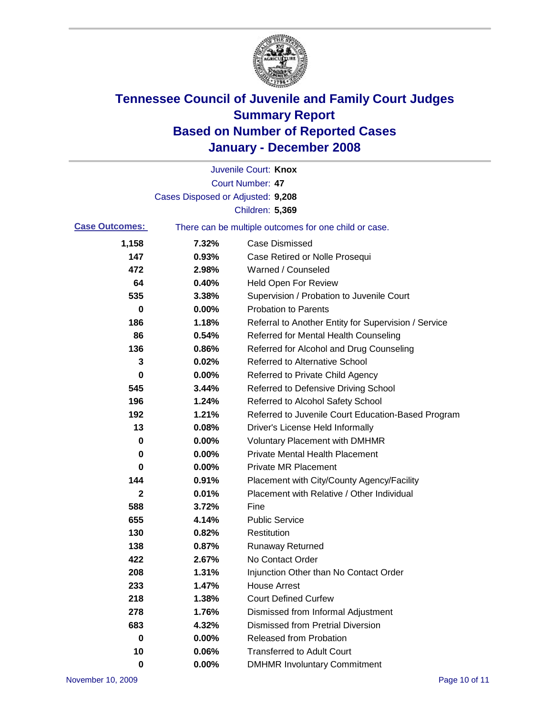

|                       |                                   | Juvenile Court: Knox                                  |
|-----------------------|-----------------------------------|-------------------------------------------------------|
|                       |                                   | <b>Court Number: 47</b>                               |
|                       | Cases Disposed or Adjusted: 9,208 |                                                       |
|                       |                                   | Children: 5,369                                       |
| <b>Case Outcomes:</b> |                                   | There can be multiple outcomes for one child or case. |
| 1,158                 | 7.32%                             | <b>Case Dismissed</b>                                 |
| 147                   | 0.93%                             | Case Retired or Nolle Prosequi                        |
| 472                   | 2.98%                             | Warned / Counseled                                    |
| 64                    | 0.40%                             | <b>Held Open For Review</b>                           |
| 535                   | 3.38%                             | Supervision / Probation to Juvenile Court             |
| 0                     | 0.00%                             | <b>Probation to Parents</b>                           |
| 186                   | 1.18%                             | Referral to Another Entity for Supervision / Service  |
| 86                    | 0.54%                             | Referred for Mental Health Counseling                 |
| 136                   | 0.86%                             | Referred for Alcohol and Drug Counseling              |
| 3                     | 0.02%                             | <b>Referred to Alternative School</b>                 |
| 0                     | 0.00%                             | Referred to Private Child Agency                      |
| 545                   | 3.44%                             | Referred to Defensive Driving School                  |
| 196                   | 1.24%                             | Referred to Alcohol Safety School                     |
| 192                   | 1.21%                             | Referred to Juvenile Court Education-Based Program    |
| 13                    | 0.08%                             | Driver's License Held Informally                      |
| 0                     | 0.00%                             | <b>Voluntary Placement with DMHMR</b>                 |
| 0                     | 0.00%                             | <b>Private Mental Health Placement</b>                |
| 0                     | 0.00%                             | <b>Private MR Placement</b>                           |
| 144                   | 0.91%                             | Placement with City/County Agency/Facility            |
| $\mathbf 2$           | 0.01%                             | Placement with Relative / Other Individual            |
| 588                   | 3.72%                             | Fine                                                  |
| 655                   | 4.14%                             | <b>Public Service</b>                                 |
| 130                   | 0.82%                             | Restitution                                           |
| 138                   | 0.87%                             | <b>Runaway Returned</b>                               |
| 422                   | 2.67%                             | No Contact Order                                      |
| 208                   | 1.31%                             | Injunction Other than No Contact Order                |
| 233                   | 1.47%                             | <b>House Arrest</b>                                   |
| 218                   | 1.38%                             | <b>Court Defined Curfew</b>                           |
| 278                   | 1.76%                             | Dismissed from Informal Adjustment                    |
| 683                   | 4.32%                             | <b>Dismissed from Pretrial Diversion</b>              |
| $\mathbf 0$           | 0.00%                             | <b>Released from Probation</b>                        |
| 10                    | 0.06%                             | <b>Transferred to Adult Court</b>                     |
| 0                     | $0.00\%$                          | <b>DMHMR Involuntary Commitment</b>                   |